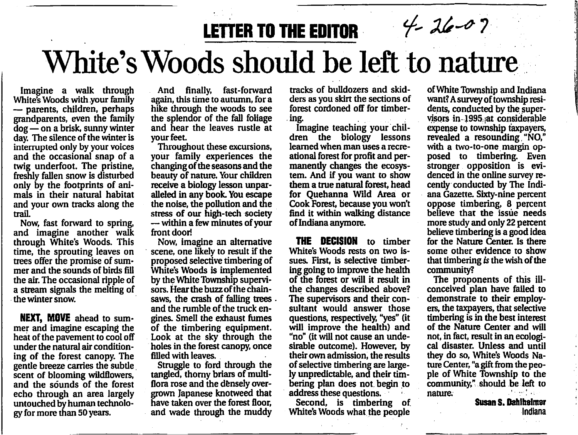## LETTER TO THE EDITOR  $\frac{4}{7}$  26-0?

## White's Woods should be left to nature

White's Woods with your family — parents, children, perhaps grandparents, even the family dog—on a brisk, sunny winter day. The silence of the winter is interrupted only by your voices and the occasional snap of a twig underfoot. The pristine, freshly fallen snow is disturbed only by the footprints of ani mals in their natural habitat and your own tracks along the trail.

Now, fast forward to spring, and imagine another walk through White's Woods. This time, the sprouting leaves on trees offer the promise of sum mer and the sounds of birds fill the air. The occasional ripple of a stream signals the melting of the winter snow.

NEXT. MOVE ahead to summer and imagine escaping the heat of the pavement to cool off under the natural air condition ing of the forest canopy. The gentle breeze carries the subtle scent of blooming wildflowers, and the sounds of the forest echo through an area largely untouched by human technolo gy for more than 50 years.

And finally, fast-forward again, this time to autumn, for a hike through the woods to see the splendor of the fall foliage and hear the leaves rustle at your feet

Throughout these excursions, your family experiences the changing of the seasons and the beauty of nature. Your children receive a biology lesson unpar alleled in any book. You escape the noise, the pollution and the stress of our high-tech society —within a few minutes of your front door!

Now, imagine an alternative scene, one likely to result if the proposed selective timbering of White's Woods is implemented by the White Township supervi sors. Hear the buzz of the chainsaws, the crash of falling trees. and the rumble of the truck en gines. Smell the exhaust fumes of the timbering equipment. Look at the sky through the holes in the forest canopy, once filled with leaves.

Struggle to ford through the tangled, thorny briars of multiflora rose and the densely over grown Japanese knotweed that have taken over the forest floor, and wade through the muddy

tracks of bulldozers and skidders as you skirt the sections of forest cordoned off for timber ing.<br>Imagine teaching your chil-

dren the biology lessons learned when man uses a recreational forest for profit and per manently changes the ecosys tem. And if you want to show them a true natural forest, head for Quehanna Wild Area or Cook Forest, because you won't find it within walking distance of Indiana anymore.

THE DECISION to timber White's Woods rests on two is sues. First, is selective timbering going to improve the health of the forest or will it result in the changes described above? The supervisors and their con sultant would answer those questions, respectively, "yes" (it will improve the health) and "no" (it will not cause an unde sirable outcome). However, by their own admission, the results of selective timbering are large ly unpredictable, and their tim bering plan does not. begin to address these questions.

Second, is timbering of. White's Woods what the people

of White Township and Indiana want? A survey of township resi dents, conducted by the super visors in 1995 :at considerable expense to township taxpayers, revealed a resounding, "NO," with a two-to-one margin op posed to timbering. Even stronger opposition is evidenced in the online survey re cently conducted by The Indi ana Gazette. Sixty-nine percent oppose timbering, 8 percent believe that the issue needs more study and only 22 percent believe timbering is a good idea for the Nature Center. Is there some other evidence to show that timbering is the wish of the community?

The proponents of this illconceived plan have failed to demonstrate to their employ ers, the taxpayers, that selective timbering is in the best interest of the Nature Center and will not, in fact, result in an ecologi cal disaster. Unless and until they do so, White's Woods Na ture Center, "a gift from the peo ple of White Township to the community," should be left to nature.

Susan S. Dahlhelnrar Indiana